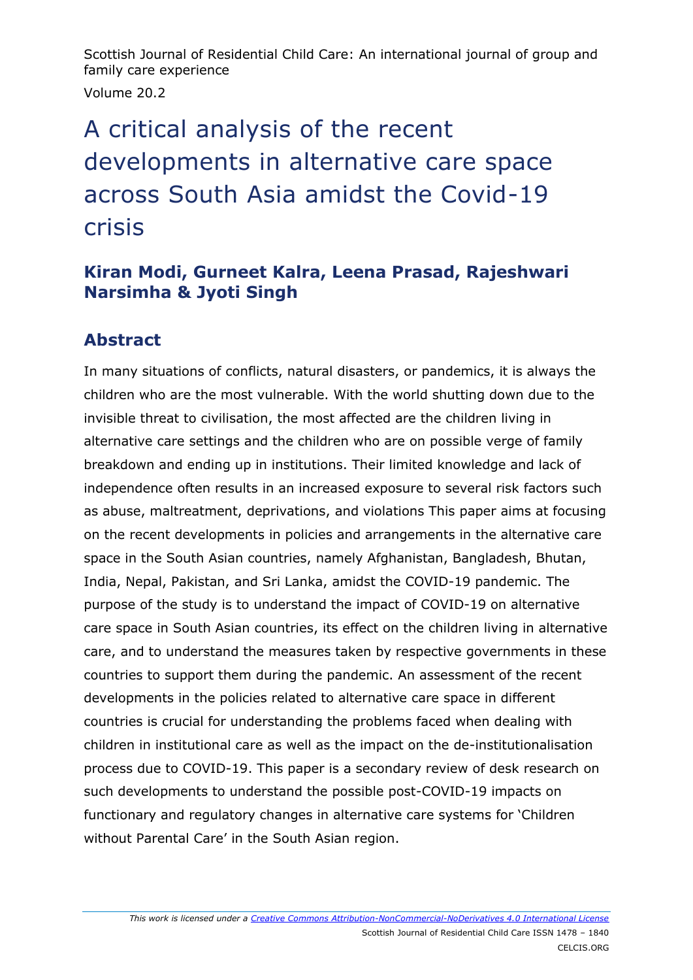Scottish Journal of Residential Child Care: An international journal of group and family care experience Volume 20.2

# A critical analysis of the recent developments in alternative care space across South Asia amidst the Covid-19 crisis

## **Kiran Modi, Gurneet Kalra, Leena Prasad, Rajeshwari Narsimha & Jyoti Singh**

# **Abstract**

In many situations of conflicts, natural disasters, or pandemics, it is always the children who are the most vulnerable. With the world shutting down due to the invisible threat to civilisation, the most affected are the children living in alternative care settings and the children who are on possible verge of family breakdown and ending up in institutions. Their limited knowledge and lack of independence often results in an increased exposure to several risk factors such as abuse, maltreatment, deprivations, and violations This paper aims at focusing on the recent developments in policies and arrangements in the alternative care space in the South Asian countries, namely Afghanistan, Bangladesh, Bhutan, India, Nepal, Pakistan, and Sri Lanka, amidst the COVID-19 pandemic. The purpose of the study is to understand the impact of COVID-19 on alternative care space in South Asian countries, its effect on the children living in alternative care, and to understand the measures taken by respective governments in these countries to support them during the pandemic. An assessment of the recent developments in the policies related to alternative care space in different countries is crucial for understanding the problems faced when dealing with children in institutional care as well as the impact on the de-institutionalisation process due to COVID-19. This paper is a secondary review of desk research on such developments to understand the possible post-COVID-19 impacts on functionary and regulatory changes in alternative care systems for 'Children without Parental Care' in the South Asian region.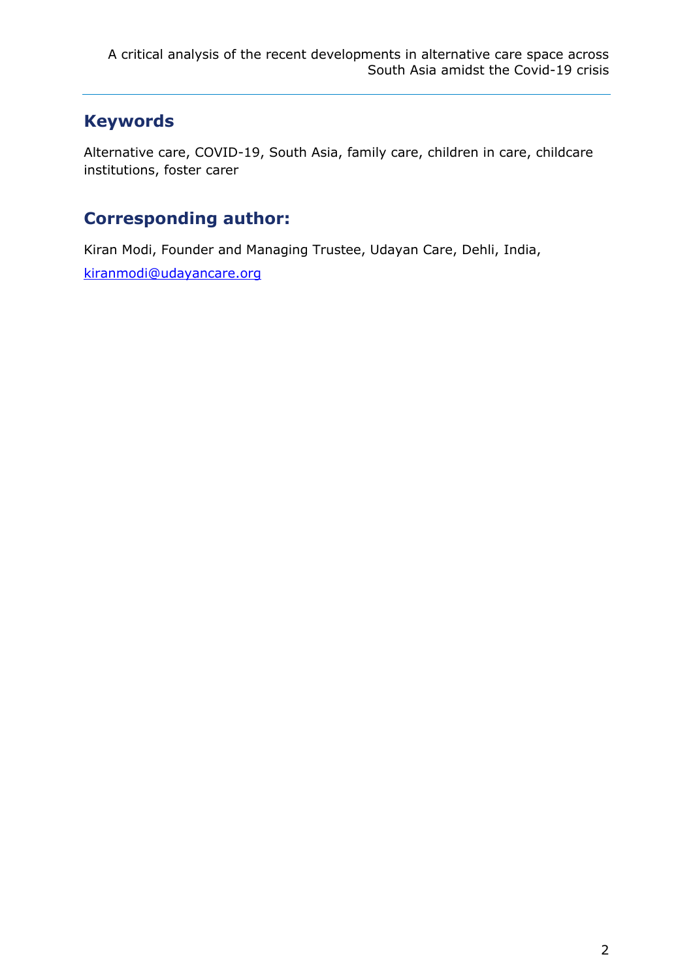# **Keywords**

Alternative care, COVID-19, South Asia, family care, children in care, childcare institutions, foster carer

# **Corresponding author:**

Kiran Modi, Founder and Managing Trustee, Udayan Care, Dehli, India, [kiranmodi@udayancare.org](mailto:kiranmodi@udayancare.org)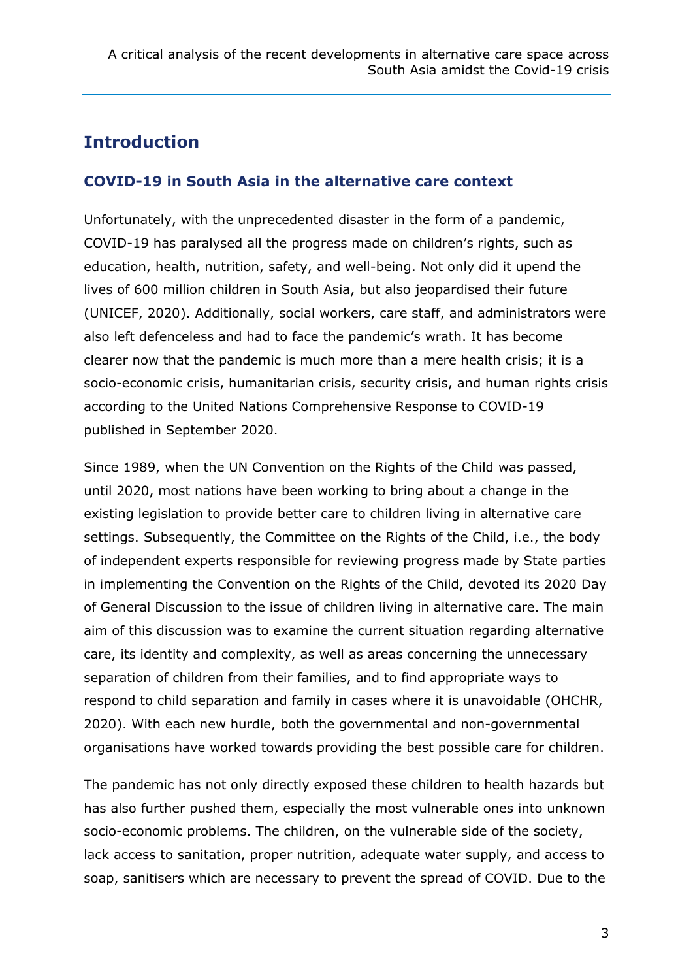# **Introduction**

#### **COVID-19 in South Asia in the alternative care context**

Unfortunately, with the unprecedented disaster in the form of a pandemic, COVID-19 has paralysed all the progress made on children's rights, such as education, health, nutrition, safety, and well-being. Not only did it upend the lives of 600 million children in South Asia, but also jeopardised their future (UNICEF, 2020). Additionally, social workers, care staff, and administrators were also left defenceless and had to face the pandemic's wrath. It has become clearer now that the pandemic is much more than a mere health crisis; it is a socio-economic crisis, humanitarian crisis, security crisis, and human rights crisis according to the United Nations Comprehensive Response to COVID-19 published in September 2020.

Since 1989, when the UN Convention on the Rights of the Child was passed, until 2020, most nations have been working to bring about a change in the existing legislation to provide better care to children living in alternative care settings. Subsequently, the Committee on the Rights of the Child, i.e., the body of independent experts responsible for reviewing progress made by State parties in implementing the Convention on the Rights of the Child, devoted its 2020 Day of General Discussion to the issue of children living in alternative care. The main aim of this discussion was to examine the current situation regarding alternative care, its identity and complexity, as well as areas concerning the unnecessary separation of children from their families, and to find appropriate ways to respond to child separation and family in cases where it is unavoidable (OHCHR, 2020). With each new hurdle, both the governmental and non-governmental organisations have worked towards providing the best possible care for children.

The pandemic has not only directly exposed these children to health hazards but has also further pushed them, especially the most vulnerable ones into unknown socio-economic problems. The children, on the vulnerable side of the society, lack access to sanitation, proper nutrition, adequate water supply, and access to soap, sanitisers which are necessary to prevent the spread of COVID. Due to the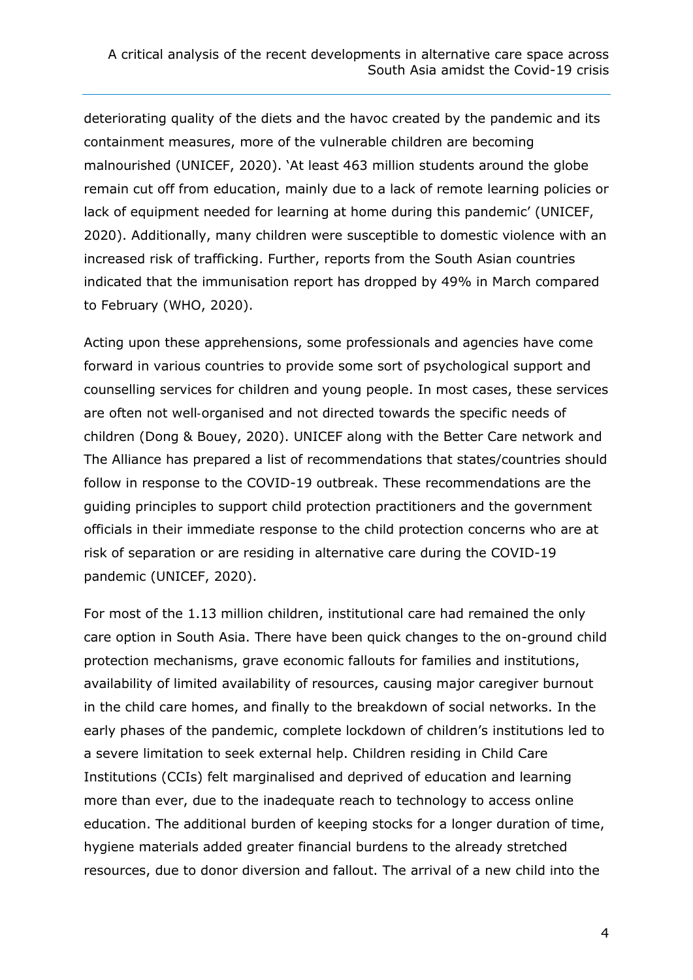deteriorating quality of the diets and the havoc created by the pandemic and its containment measures, more of the vulnerable children are becoming malnourished (UNICEF, 2020). 'At least 463 million students around the globe remain cut off from education, mainly due to a lack of remote learning policies or lack of equipment needed for learning at home during this pandemic' (UNICEF, 2020). Additionally, many children were susceptible to domestic violence with an increased risk of trafficking. Further, reports from the South Asian countries indicated that the immunisation report has dropped by 49% in March compared to February (WHO, 2020).

Acting upon these apprehensions, some professionals and agencies have come forward in various countries to provide some sort of psychological support and counselling services for children and young people. In most cases, these services are often not well‐organised and not directed towards the specific needs of children (Dong & Bouey, 2020). UNICEF along with the Better Care network and The Alliance has prepared a list of recommendations that states/countries should follow in response to the COVID-19 outbreak. These recommendations are the guiding principles to support child protection practitioners and the government officials in their immediate response to the child protection concerns who are at risk of separation or are residing in alternative care during the COVID-19 pandemic (UNICEF, 2020).

For most of the 1.13 million children, institutional care had remained the only care option in South Asia. There have been quick changes to the on-ground child protection mechanisms, grave economic fallouts for families and institutions, availability of limited availability of resources, causing major caregiver burnout in the child care homes, and finally to the breakdown of social networks. In the early phases of the pandemic, complete lockdown of children's institutions led to a severe limitation to seek external help. Children residing in Child Care Institutions (CCIs) felt marginalised and deprived of education and learning more than ever, due to the inadequate reach to technology to access online education. The additional burden of keeping stocks for a longer duration of time, hygiene materials added greater financial burdens to the already stretched resources, due to donor diversion and fallout. The arrival of a new child into the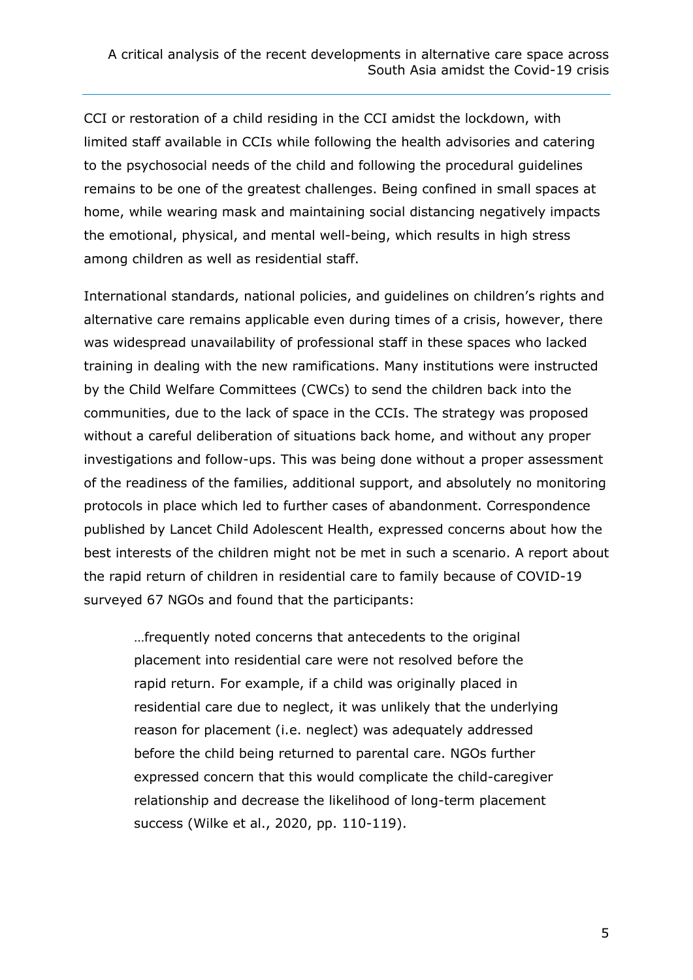CCI or restoration of a child residing in the CCI amidst the lockdown, with limited staff available in CCIs while following the health advisories and catering to the psychosocial needs of the child and following the procedural guidelines remains to be one of the greatest challenges. Being confined in small spaces at home, while wearing mask and maintaining social distancing negatively impacts the emotional, physical, and mental well-being, which results in high stress among children as well as residential staff.

International standards, national policies, and guidelines on children's rights and alternative care remains applicable even during times of a crisis, however, there was widespread unavailability of professional staff in these spaces who lacked training in dealing with the new ramifications. Many institutions were instructed by the Child Welfare Committees (CWCs) to send the children back into the communities, due to the lack of space in the CCIs. The strategy was proposed without a careful deliberation of situations back home, and without any proper investigations and follow-ups. This was being done without a proper assessment of the readiness of the families, additional support, and absolutely no monitoring protocols in place which led to further cases of abandonment. Correspondence published by Lancet Child Adolescent Health, expressed concerns about how the best interests of the children might not be met in such a scenario. A report about the rapid return of children in residential care to family because of COVID-19 surveyed 67 NGOs and found that the participants:

…frequently noted concerns that antecedents to the original placement into residential care were not resolved before the rapid return. For example, if a child was originally placed in residential care due to neglect, it was unlikely that the underlying reason for placement (i.e. neglect) was adequately addressed before the child being returned to parental care. NGOs further expressed concern that this would complicate the child-caregiver relationship and decrease the likelihood of long-term placement success (Wilke et al., 2020, pp. 110-119).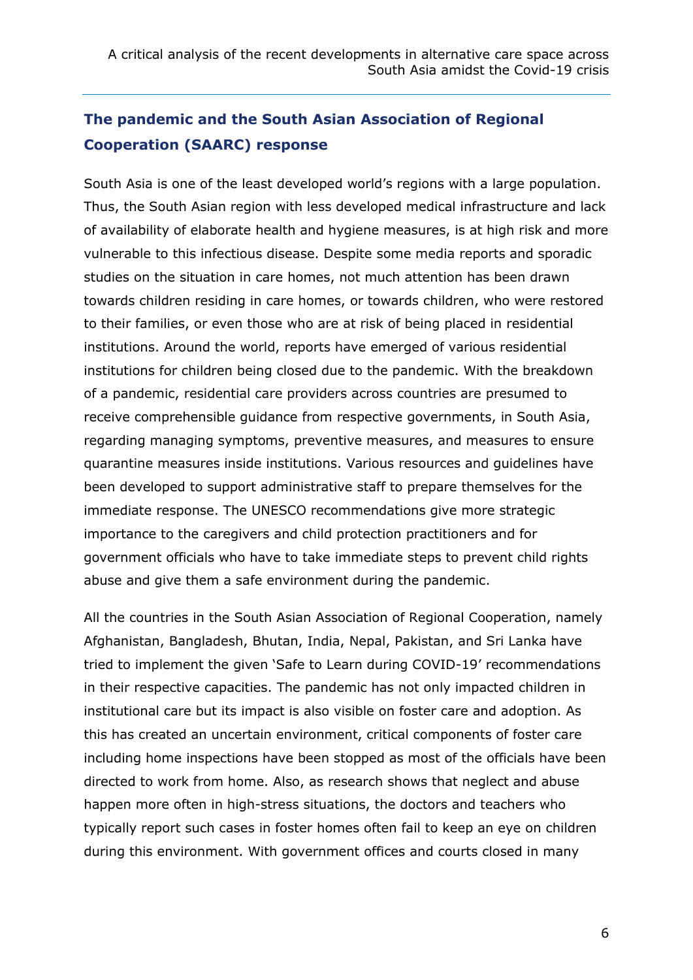# **The pandemic and the South Asian Association of Regional Cooperation (SAARC) response**

South Asia is one of the least developed world's regions with a large population. Thus, the South Asian region with less developed medical infrastructure and lack of availability of elaborate health and hygiene measures, is at high risk and more vulnerable to this infectious disease. Despite some media reports and sporadic studies on the situation in care homes, not much attention has been drawn towards children residing in care homes, or towards children, who were restored to their families, or even those who are at risk of being placed in residential institutions. Around the world, reports have emerged of various residential institutions for children being closed due to the pandemic. With the breakdown of a pandemic, residential care providers across countries are presumed to receive comprehensible guidance from respective governments, in South Asia, regarding managing symptoms, preventive measures, and measures to ensure quarantine measures inside institutions. Various resources and guidelines have been developed to support administrative staff to prepare themselves for the immediate response. The UNESCO recommendations give more strategic importance to the caregivers and child protection practitioners and for government officials who have to take immediate steps to prevent child rights abuse and give them a safe environment during the pandemic.

All the countries in the South Asian Association of Regional Cooperation, namely Afghanistan, Bangladesh, Bhutan, India, Nepal, Pakistan, and Sri Lanka have tried to implement the given 'Safe to Learn during COVID-19' recommendations in their respective capacities. The pandemic has not only impacted children in institutional care but its impact is also visible on foster care and adoption. As this has created an uncertain environment, critical components of foster care including home inspections have been stopped as most of the officials have been directed to work from home. Also, as research shows that neglect and abuse happen more often in high-stress situations, the doctors and teachers who typically report such cases in foster homes often fail to keep an eye on children during this environment. With government offices and courts closed in many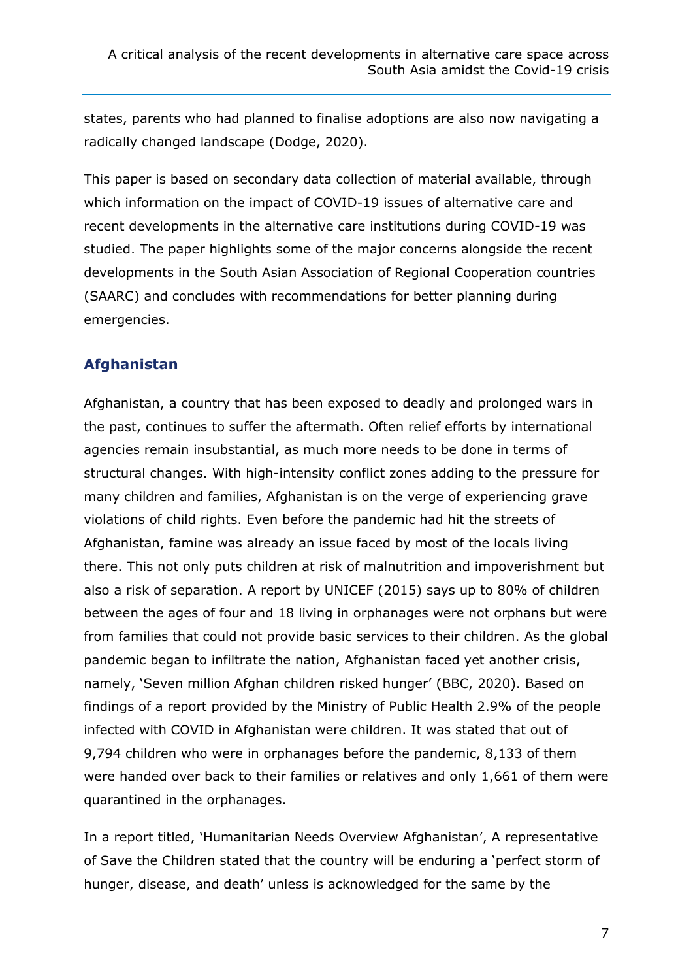states, parents who had planned to finalise adoptions are also now navigating a radically changed landscape (Dodge, 2020).

This paper is based on secondary data collection of material available, through which information on the impact of COVID-19 issues of alternative care and recent developments in the alternative care institutions during COVID-19 was studied. The paper highlights some of the major concerns alongside the recent developments in the South Asian Association of Regional Cooperation countries (SAARC) and concludes with recommendations for better planning during emergencies.

#### **Afghanistan**

Afghanistan, a country that has been exposed to deadly and prolonged wars in the past, continues to suffer the aftermath. Often relief efforts by international agencies remain insubstantial, as much more needs to be done in terms of structural changes. With high-intensity conflict zones adding to the pressure for many children and families, Afghanistan is on the verge of experiencing grave violations of child rights. Even before the pandemic had hit the streets of Afghanistan, famine was already an issue faced by most of the locals living there. This not only puts children at risk of malnutrition and impoverishment but also a risk of separation. A report by UNICEF (2015) says up to 80% of children between the ages of four and 18 living in orphanages were not orphans but were from families that could not provide basic services to their children. As the global pandemic began to infiltrate the nation, Afghanistan faced yet another crisis, namely, 'Seven million Afghan children risked hunger' (BBC, 2020). Based on findings of a report provided by the Ministry of Public Health 2.9% of the people infected with COVID in Afghanistan were children. It was stated that out of 9,794 children who were in orphanages before the pandemic, 8,133 of them were handed over back to their families or relatives and only 1,661 of them were quarantined in the orphanages.

In a report titled, 'Humanitarian Needs Overview Afghanistan', A representative of Save the Children stated that the country will be enduring a 'perfect storm of hunger, disease, and death' unless is acknowledged for the same by the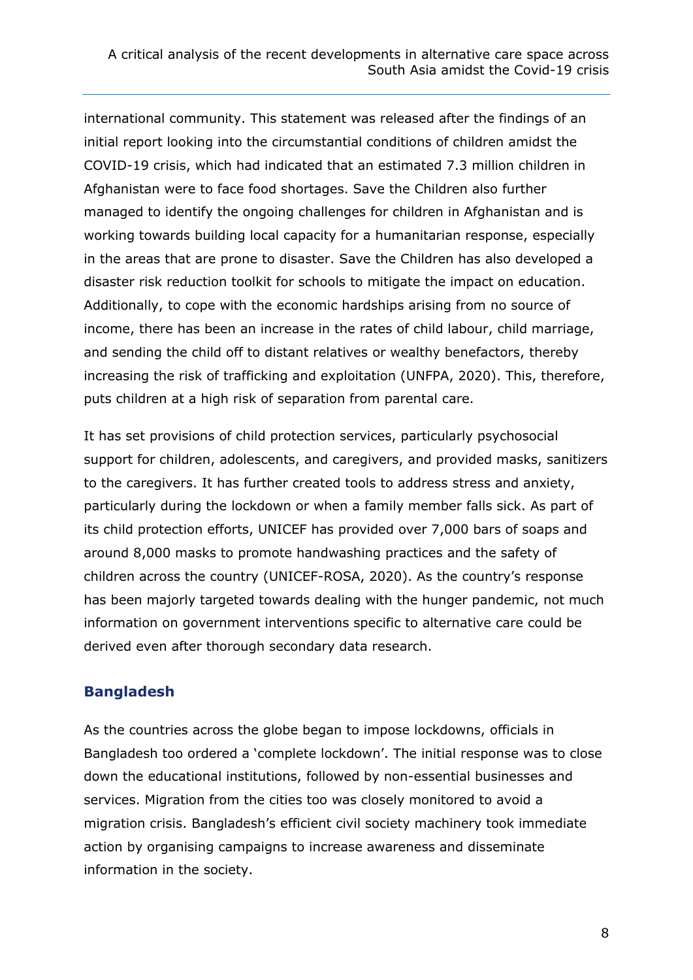international community. This statement was released after the findings of an initial report looking into the circumstantial conditions of children amidst the COVID-19 crisis, which had indicated that an estimated 7.3 million children in Afghanistan were to face food shortages. Save the Children also further managed to identify the ongoing challenges for children in Afghanistan and is working towards building local capacity for a humanitarian response, especially in the areas that are prone to disaster. Save the Children has also developed a disaster risk reduction toolkit for schools to mitigate the impact on education. Additionally, to cope with the economic hardships arising from no source of income, there has been an increase in the rates of child labour, child marriage, and sending the child off to distant relatives or wealthy benefactors, thereby increasing the risk of trafficking and exploitation (UNFPA, 2020). This, therefore, puts children at a high risk of separation from parental care.

It has set provisions of child protection services, particularly psychosocial support for children, adolescents, and caregivers, and provided masks, sanitizers to the caregivers. It has further created tools to address stress and anxiety, particularly during the lockdown or when a family member falls sick. As part of its child protection efforts, UNICEF has provided over 7,000 bars of soaps and around 8,000 masks to promote handwashing practices and the safety of children across the country (UNICEF-ROSA, 2020). As the country's response has been majorly targeted towards dealing with the hunger pandemic, not much information on government interventions specific to alternative care could be derived even after thorough secondary data research.

#### **Bangladesh**

As the countries across the globe began to impose lockdowns, officials in Bangladesh too ordered a 'complete lockdown'. The initial response was to close down the educational institutions, followed by non-essential businesses and services. Migration from the cities too was closely monitored to avoid a migration crisis. Bangladesh's efficient civil society machinery took immediate action by organising campaigns to increase awareness and disseminate information in the society.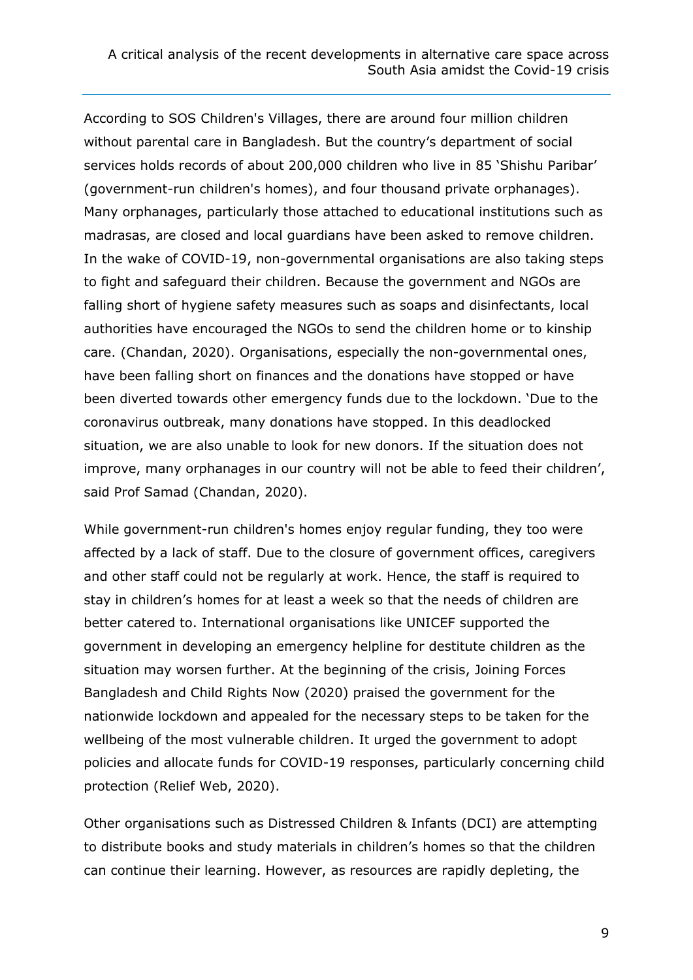According to SOS Children's Villages, there are around four million children without parental care in Bangladesh. But the country's department of social services holds records of about 200,000 children who live in 85 'Shishu Paribar' (government-run children's homes), and four thousand private orphanages). Many orphanages, particularly those attached to educational institutions such as madrasas, are closed and local guardians have been asked to remove children. In the wake of COVID-19, non-governmental organisations are also taking steps to fight and safeguard their children. Because the government and NGOs are falling short of hygiene safety measures such as soaps and disinfectants, local authorities have encouraged the NGOs to send the children home or to kinship care. (Chandan, 2020). Organisations, especially the non-governmental ones, have been falling short on finances and the donations have stopped or have been diverted towards other emergency funds due to the lockdown. 'Due to the coronavirus outbreak, many donations have stopped. In this deadlocked situation, we are also unable to look for new donors. If the situation does not improve, many orphanages in our country will not be able to feed their children', said Prof Samad (Chandan, 2020).

While government-run children's homes enjoy regular funding, they too were affected by a lack of staff. Due to the closure of government offices, caregivers and other staff could not be regularly at work. Hence, the staff is required to stay in children's homes for at least a week so that the needs of children are better catered to. International organisations like UNICEF supported the government in developing an emergency helpline for destitute children as the situation may worsen further. At the beginning of the crisis, Joining Forces Bangladesh and Child Rights Now (2020) praised the government for the nationwide lockdown and appealed for the necessary steps to be taken for the wellbeing of the most vulnerable children. It urged the government to adopt policies and allocate funds for COVID-19 responses, particularly concerning child protection (Relief Web, 2020).

Other organisations such as Distressed Children & Infants (DCI) are attempting to distribute books and study materials in children's homes so that the children can continue their learning. However, as resources are rapidly depleting, the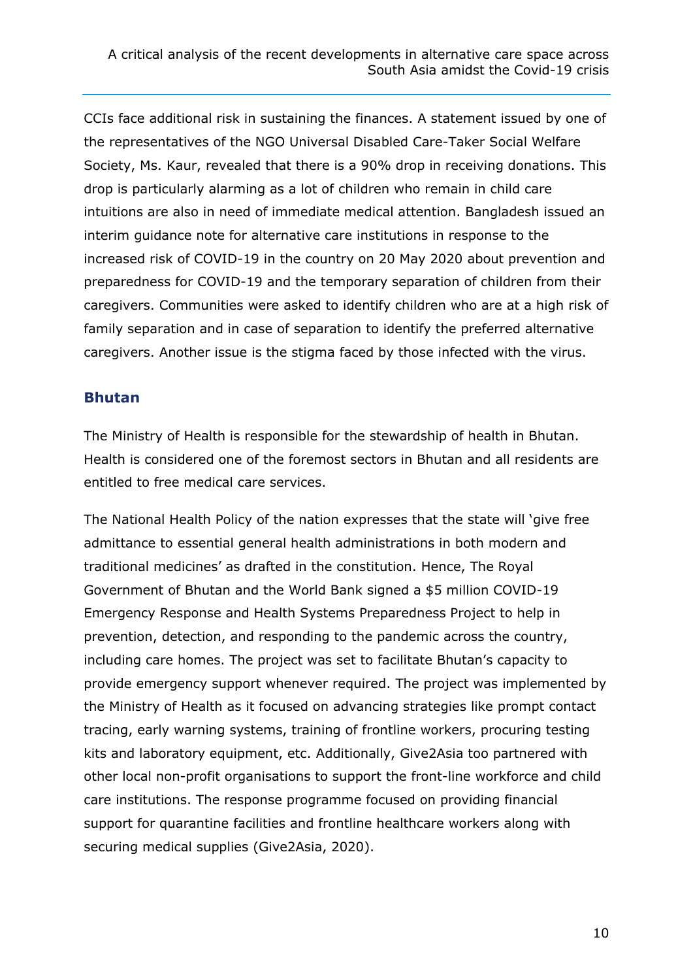CCIs face additional risk in sustaining the finances. A statement issued by one of the representatives of the NGO Universal Disabled Care-Taker Social Welfare Society, Ms. Kaur, revealed that there is a 90% drop in receiving donations. This drop is particularly alarming as a lot of children who remain in child care intuitions are also in need of immediate medical attention. Bangladesh issued an interim guidance note for alternative care institutions in response to the increased risk of COVID-19 in the country on 20 May 2020 about prevention and preparedness for COVID-19 and the temporary separation of children from their caregivers. Communities were asked to identify children who are at a high risk of family separation and in case of separation to identify the preferred alternative caregivers. Another issue is the stigma faced by those infected with the virus.

#### **Bhutan**

The Ministry of Health is responsible for the stewardship of health in Bhutan. Health is considered one of the foremost sectors in Bhutan and all residents are entitled to free medical care services.

The National Health Policy of the nation expresses that the state will 'give free admittance to essential general health administrations in both modern and traditional medicines' as drafted in the constitution. Hence, The Royal Government of Bhutan and the World Bank signed a \$5 million COVID-19 Emergency Response and Health Systems Preparedness Project to help in prevention, detection, and responding to the pandemic across the country, including care homes. The project was set to facilitate Bhutan's capacity to provide emergency support whenever required. The project was implemented by the Ministry of Health as it focused on advancing strategies like prompt contact tracing, early warning systems, training of frontline workers, procuring testing kits and laboratory equipment, etc. Additionally, Give2Asia too partnered with other local non-profit organisations to support the front-line workforce and child care institutions. The response programme focused on providing financial support for quarantine facilities and frontline healthcare workers along with securing medical supplies (Give2Asia, 2020).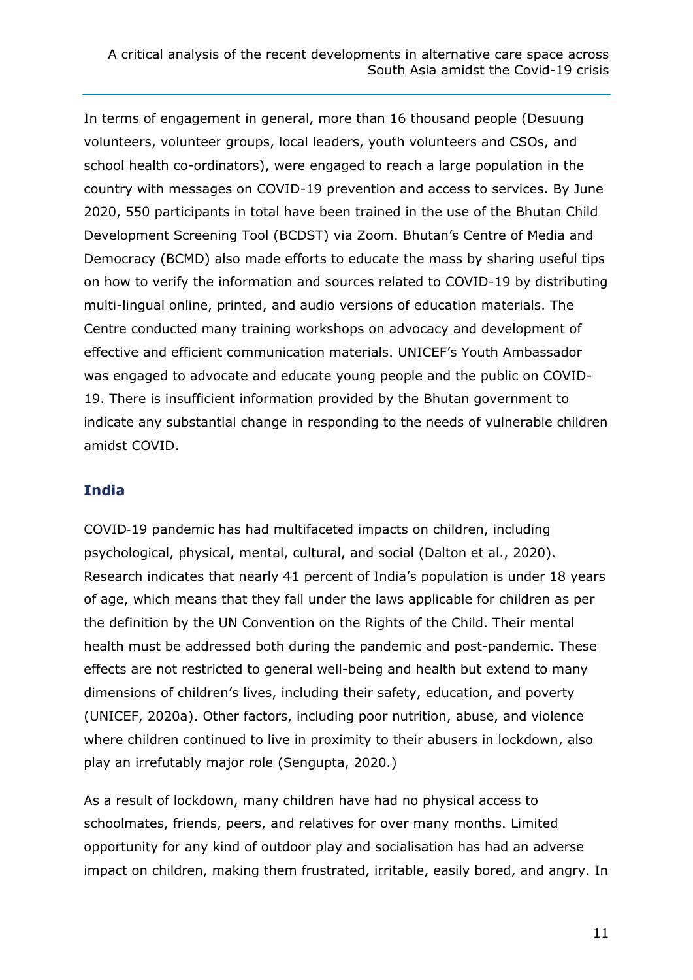In terms of engagement in general, more than 16 thousand people (Desuung volunteers, volunteer groups, local leaders, youth volunteers and CSOs, and school health co-ordinators), were engaged to reach a large population in the country with messages on COVID-19 prevention and access to services. By June 2020, 550 participants in total have been trained in the use of the Bhutan Child Development Screening Tool (BCDST) via Zoom. Bhutan's Centre of Media and Democracy (BCMD) also made efforts to educate the mass by sharing useful tips on how to verify the information and sources related to COVID-19 by distributing multi-lingual online, printed, and audio versions of education materials. The Centre conducted many training workshops on advocacy and development of effective and efficient communication materials. UNICEF's Youth Ambassador was engaged to advocate and educate young people and the public on COVID-19. There is insufficient information provided by the Bhutan government to indicate any substantial change in responding to the needs of vulnerable children amidst COVID.

#### **India**

COVID‐19 pandemic has had multifaceted impacts on children, including psychological, physical, mental, cultural, and social (Dalton et al., 2020). Research indicates that nearly 41 percent of India's population is under 18 years of age, which means that they fall under the laws applicable for children as per the definition by the UN Convention on the Rights of the Child. Their mental health must be addressed both during the pandemic and post-pandemic. These effects are not restricted to general well-being and health but extend to many dimensions of children's lives, including their safety, education, and poverty (UNICEF, 2020a). Other factors, including poor nutrition, abuse, and violence where children continued to live in proximity to their abusers in lockdown, also play an irrefutably major role (Sengupta, 2020.)

As a result of lockdown, many children have had no physical access to schoolmates, friends, peers, and relatives for over many months. Limited opportunity for any kind of outdoor play and socialisation has had an adverse impact on children, making them frustrated, irritable, easily bored, and angry. In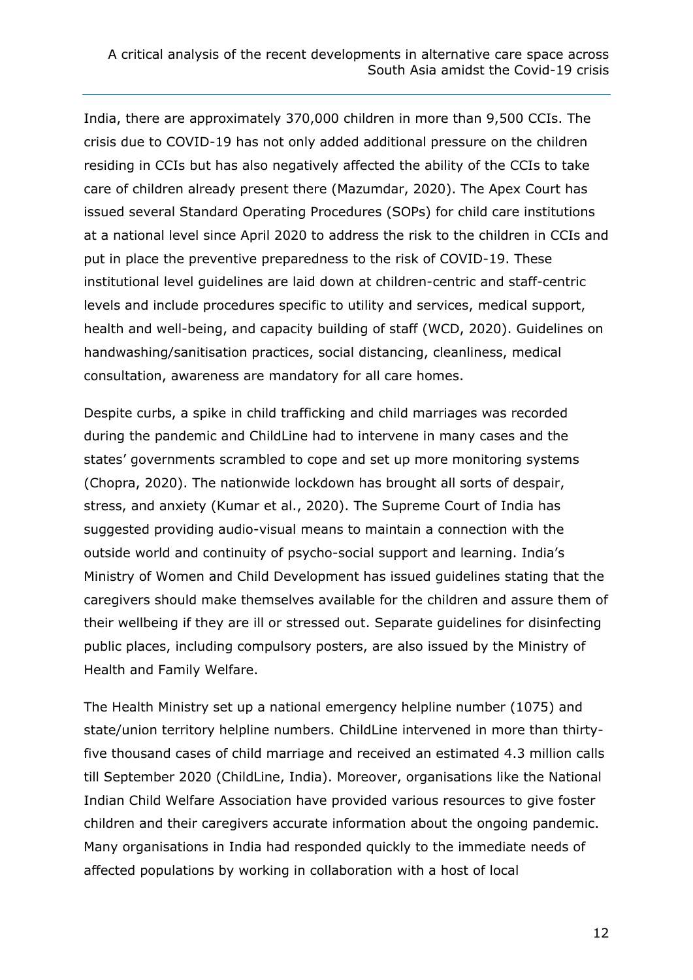India, there are approximately 370,000 children in more than 9,500 CCIs. The crisis due to COVID-19 has not only added additional pressure on the children residing in CCIs but has also negatively affected the ability of the CCIs to take care of children already present there (Mazumdar, 2020). The Apex Court has issued several Standard Operating Procedures (SOPs) for child care institutions at a national level since April 2020 to address the risk to the children in CCIs and put in place the preventive preparedness to the risk of COVID-19. These institutional level guidelines are laid down at children-centric and staff-centric levels and include procedures specific to utility and services, medical support, health and well-being, and capacity building of staff (WCD, 2020). Guidelines on handwashing/sanitisation practices, social distancing, cleanliness, medical consultation, awareness are mandatory for all care homes.

Despite curbs, a spike in child trafficking and child marriages was recorded during the pandemic and ChildLine had to intervene in many cases and the states' governments scrambled to cope and set up more monitoring systems (Chopra, 2020). The nationwide lockdown has brought all sorts of despair, stress, and anxiety (Kumar et al., 2020). The Supreme Court of India has suggested providing audio-visual means to maintain a connection with the outside world and continuity of psycho-social support and learning. India's Ministry of Women and Child Development has issued guidelines stating that the caregivers should make themselves available for the children and assure them of their wellbeing if they are ill or stressed out. Separate guidelines for disinfecting public places, including compulsory posters, are also issued by the Ministry of Health and Family Welfare.

The Health Ministry set up a national emergency helpline number (1075) and state/union territory helpline numbers. ChildLine intervened in more than thirtyfive thousand cases of child marriage and received an estimated 4.3 million calls till September 2020 (ChildLine, India). Moreover, organisations like the National Indian Child Welfare Association have provided various resources to give foster children and their caregivers accurate information about the ongoing pandemic. Many organisations in India had responded quickly to the immediate needs of affected populations by working in collaboration with a host of local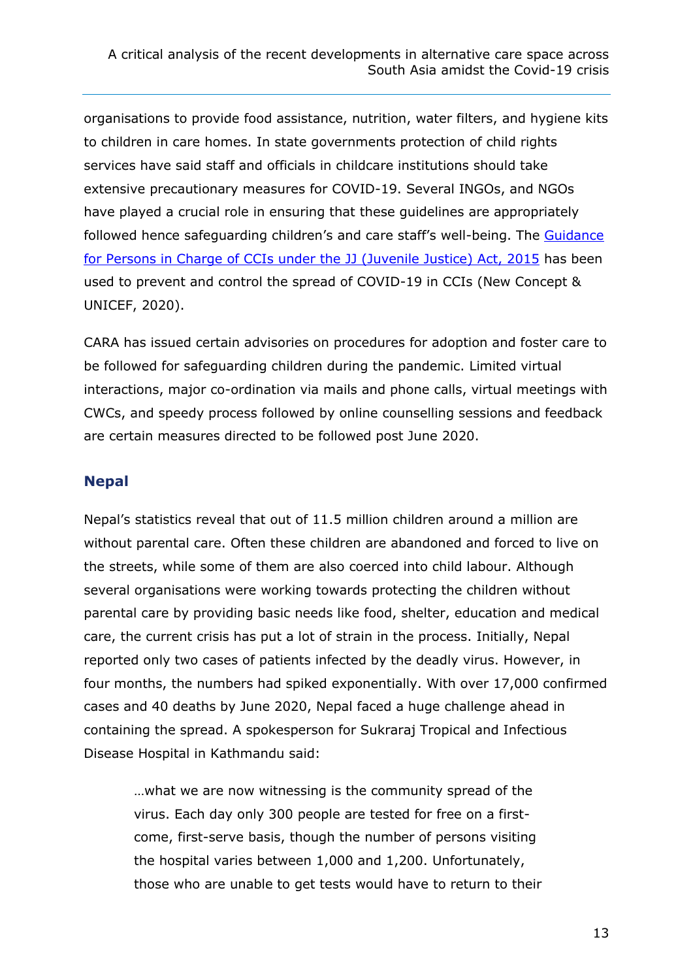organisations to provide food assistance, nutrition, water filters, and hygiene kits to children in care homes. In state governments protection of child rights services have said staff and officials in childcare institutions should take extensive precautionary measures for COVID-19. Several INGOs, and NGOs have played a crucial role in ensuring that these guidelines are appropriately followed hence safeguarding children's and care staff's well-being. The [Guidance](http://newconceptinfosys.net/Tarang/Upload/Training/Modules/Module%206_English.pdf)  [for Persons in Charge of CCIs under the JJ \(Juvenile Justice\) Act, 2015](http://newconceptinfosys.net/Tarang/Upload/Training/Modules/Module%206_English.pdf) has been used to prevent and control the spread of COVID-19 in CCIs (New Concept & UNICEF, 2020).

CARA has issued certain advisories on procedures for adoption and foster care to be followed for safeguarding children during the pandemic. Limited virtual interactions, major co-ordination via mails and phone calls, virtual meetings with CWCs, and speedy process followed by online counselling sessions and feedback are certain measures directed to be followed post June 2020.

#### **Nepal**

Nepal's statistics reveal that out of 11.5 million children around a million are without parental care. Often these children are abandoned and forced to live on the streets, while some of them are also coerced into child labour. Although several organisations were working towards protecting the children without parental care by providing basic needs like food, shelter, education and medical care, the current crisis has put a lot of strain in the process. Initially, Nepal reported only two cases of patients infected by the deadly virus. However, in four months, the numbers had spiked exponentially. With over 17,000 confirmed cases and 40 deaths by June 2020, Nepal faced a huge challenge ahead in containing the spread. A spokesperson for Sukraraj Tropical and Infectious Disease Hospital in Kathmandu said:

…what we are now witnessing is the community spread of the virus. Each day only 300 people are tested for free on a firstcome, first-serve basis, though the number of persons visiting the hospital varies between 1,000 and 1,200. Unfortunately, those who are unable to get tests would have to return to their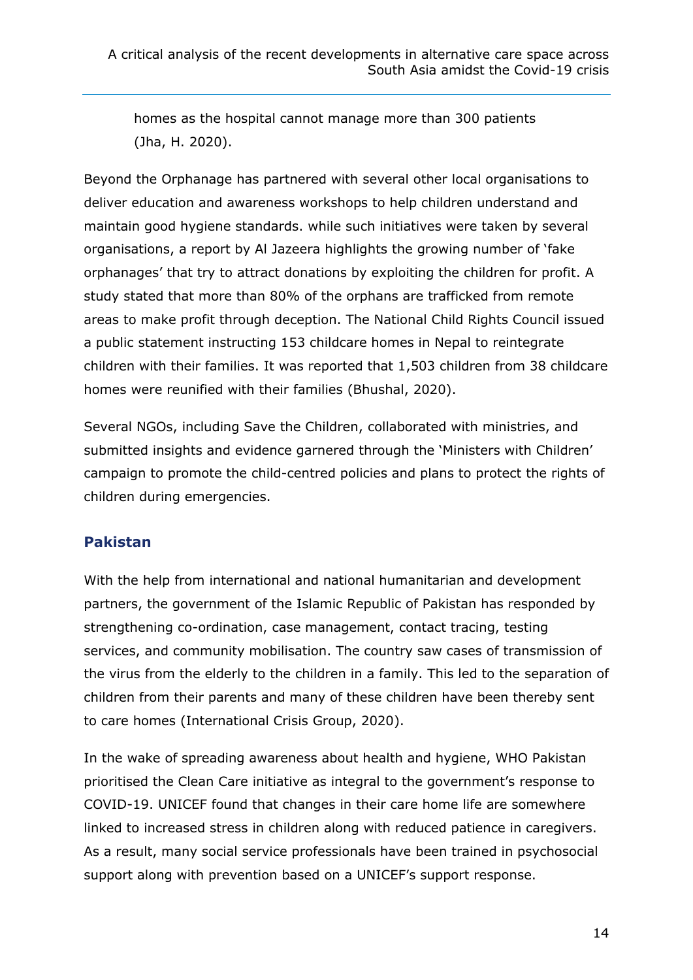homes as the hospital cannot manage more than 300 patients (Jha, H. 2020).

Beyond the Orphanage has partnered with several other local organisations to deliver education and awareness workshops to help children understand and maintain good hygiene standards. while such initiatives were taken by several organisations, a report by Al Jazeera highlights the growing number of 'fake orphanages' that try to attract donations by exploiting the children for profit. A study stated that more than 80% of the orphans are trafficked from remote areas to make profit through deception. The National Child Rights Council issued a public statement instructing 153 childcare homes in Nepal to reintegrate children with their families. It was reported that 1,503 children from 38 childcare homes were reunified with their families (Bhushal, 2020).

Several NGOs, including Save the Children, collaborated with ministries, and submitted insights and evidence garnered through the 'Ministers with Children' campaign to promote the child-centred policies and plans to protect the rights of children during emergencies.

#### **Pakistan**

With the help from international and national humanitarian and development partners, the government of the Islamic Republic of Pakistan has responded by strengthening co-ordination, case management, contact tracing, testing services, and community mobilisation. The country saw cases of transmission of the virus from the elderly to the children in a family. This led to the separation of children from their parents and many of these children have been thereby sent to care homes (International Crisis Group, 2020).

In the wake of spreading awareness about health and hygiene, WHO Pakistan prioritised the Clean Care initiative as integral to the government's response to COVID-19. UNICEF found that changes in their care home life are somewhere linked to increased stress in children along with reduced patience in caregivers. As a result, many social service professionals have been trained in psychosocial support along with prevention based on a UNICEF's support response.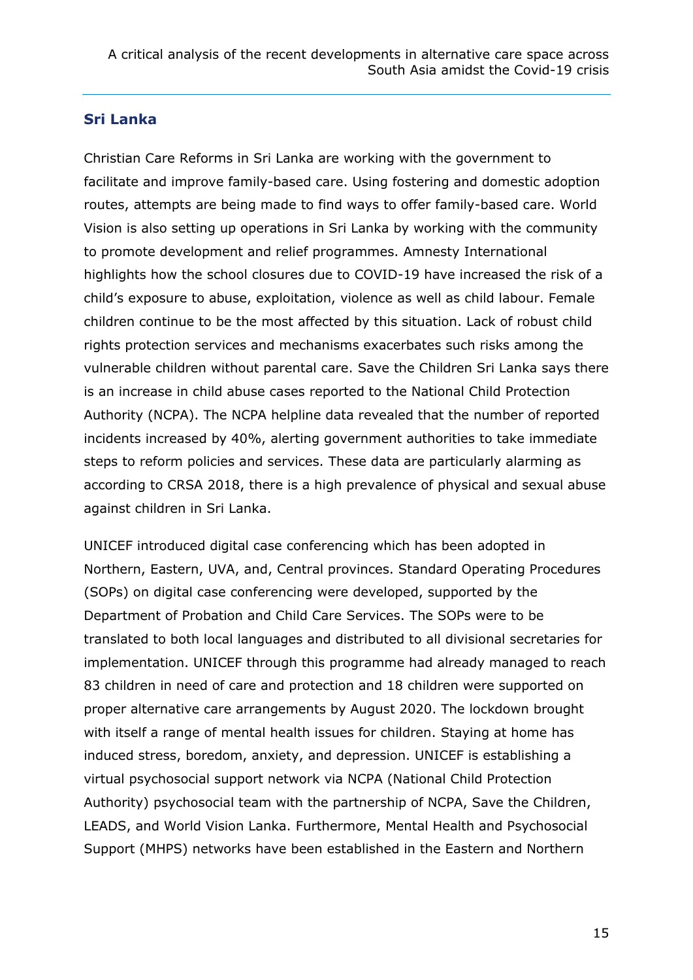#### **Sri Lanka**

Christian Care Reforms in Sri Lanka are working with the government to facilitate and improve family-based care. Using fostering and domestic adoption routes, attempts are being made to find ways to offer family-based care. World Vision is also setting up operations in Sri Lanka by working with the community to promote development and relief programmes. Amnesty International highlights how the school closures due to COVID-19 have increased the risk of a child's exposure to abuse, exploitation, violence as well as child labour. Female children continue to be the most affected by this situation. Lack of robust child rights protection services and mechanisms exacerbates such risks among the vulnerable children without parental care. Save the Children Sri Lanka says there is an increase in child abuse cases reported to the National Child Protection Authority (NCPA). The NCPA helpline data revealed that the number of reported incidents increased by 40%, alerting government authorities to take immediate steps to reform policies and services. These data are particularly alarming as according to CRSA 2018, there is a high prevalence of physical and sexual abuse against children in Sri Lanka.

UNICEF introduced digital case conferencing which has been adopted in Northern, Eastern, UVA, and, Central provinces. Standard Operating Procedures (SOPs) on digital case conferencing were developed, supported by the Department of Probation and Child Care Services. The SOPs were to be translated to both local languages and distributed to all divisional secretaries for implementation. UNICEF through this programme had already managed to reach 83 children in need of care and protection and 18 children were supported on proper alternative care arrangements by August 2020. The lockdown brought with itself a range of mental health issues for children. Staying at home has induced stress, boredom, anxiety, and depression. UNICEF is establishing a virtual psychosocial support network via NCPA (National Child Protection Authority) psychosocial team with the partnership of NCPA, Save the Children, LEADS, and World Vision Lanka. Furthermore, Mental Health and Psychosocial Support (MHPS) networks have been established in the Eastern and Northern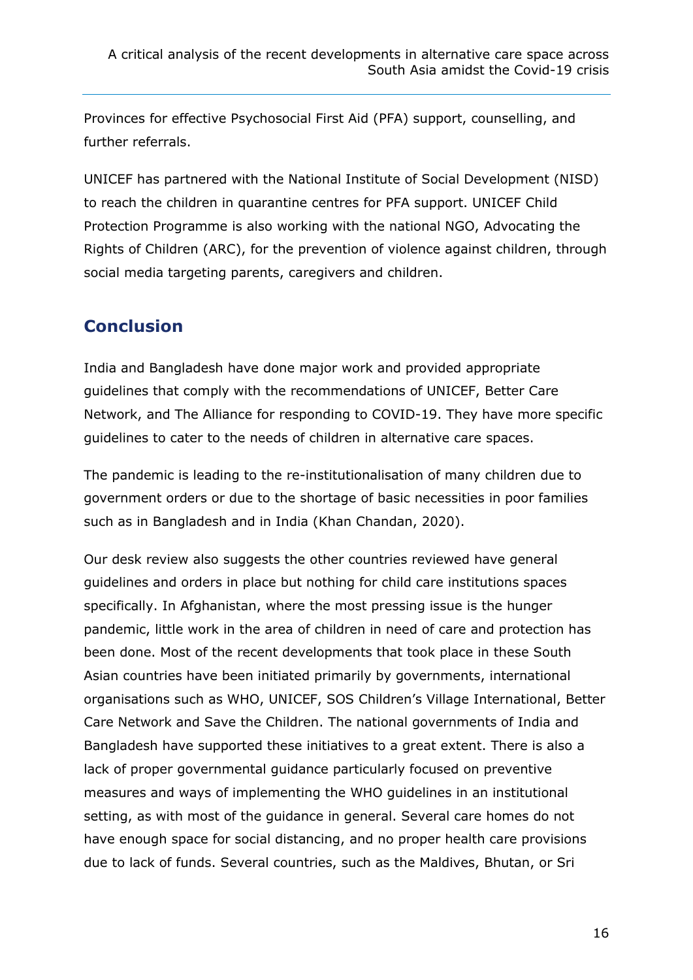Provinces for effective Psychosocial First Aid (PFA) support, counselling, and further referrals.

UNICEF has partnered with the National Institute of Social Development (NISD) to reach the children in quarantine centres for PFA support. UNICEF Child Protection Programme is also working with the national NGO, Advocating the Rights of Children (ARC), for the prevention of violence against children, through social media targeting parents, caregivers and children.

### **Conclusion**

India and Bangladesh have done major work and provided appropriate guidelines that comply with the recommendations of UNICEF, Better Care Network, and The Alliance for responding to COVID-19. They have more specific guidelines to cater to the needs of children in alternative care spaces.

The pandemic is leading to the re-institutionalisation of many children due to government orders or due to the shortage of basic necessities in poor families such as in Bangladesh and in India (Khan Chandan, 2020).

Our desk review also suggests the other countries reviewed have general guidelines and orders in place but nothing for child care institutions spaces specifically. In Afghanistan, where the most pressing issue is the hunger pandemic, little work in the area of children in need of care and protection has been done. Most of the recent developments that took place in these South Asian countries have been initiated primarily by governments, international organisations such as WHO, UNICEF, SOS Children's Village International, Better Care Network and Save the Children. The national governments of India and Bangladesh have supported these initiatives to a great extent. There is also a lack of proper governmental guidance particularly focused on preventive measures and ways of implementing the WHO guidelines in an institutional setting, as with most of the guidance in general. Several care homes do not have enough space for social distancing, and no proper health care provisions due to lack of funds. Several countries, such as the Maldives, Bhutan, or Sri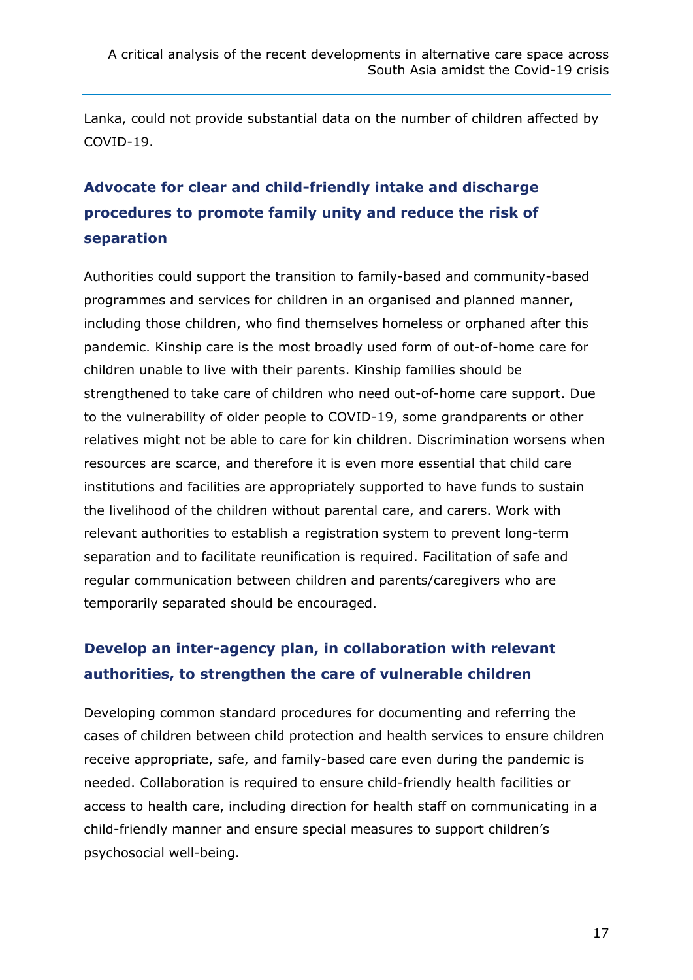Lanka, could not provide substantial data on the number of children affected by COVID-19.

# **Advocate for clear and child-friendly intake and discharge procedures to promote family unity and reduce the risk of separation**

Authorities could support the transition to family-based and community-based programmes and services for children in an organised and planned manner, including those children, who find themselves homeless or orphaned after this pandemic. Kinship care is the most broadly used form of out-of-home care for children unable to live with their parents. Kinship families should be strengthened to take care of children who need out-of-home care support. Due to the vulnerability of older people to COVID-19, some grandparents or other relatives might not be able to care for kin children. Discrimination worsens when resources are scarce, and therefore it is even more essential that child care institutions and facilities are appropriately supported to have funds to sustain the livelihood of the children without parental care, and carers. Work with relevant authorities to establish a registration system to prevent long-term separation and to facilitate reunification is required. Facilitation of safe and regular communication between children and parents/caregivers who are temporarily separated should be encouraged.

# **Develop an inter-agency plan, in collaboration with relevant authorities, to strengthen the care of vulnerable children**

Developing common standard procedures for documenting and referring the cases of children between child protection and health services to ensure children receive appropriate, safe, and family-based care even during the pandemic is needed. Collaboration is required to ensure child-friendly health facilities or access to health care, including direction for health staff on communicating in a child-friendly manner and ensure special measures to support children's psychosocial well-being.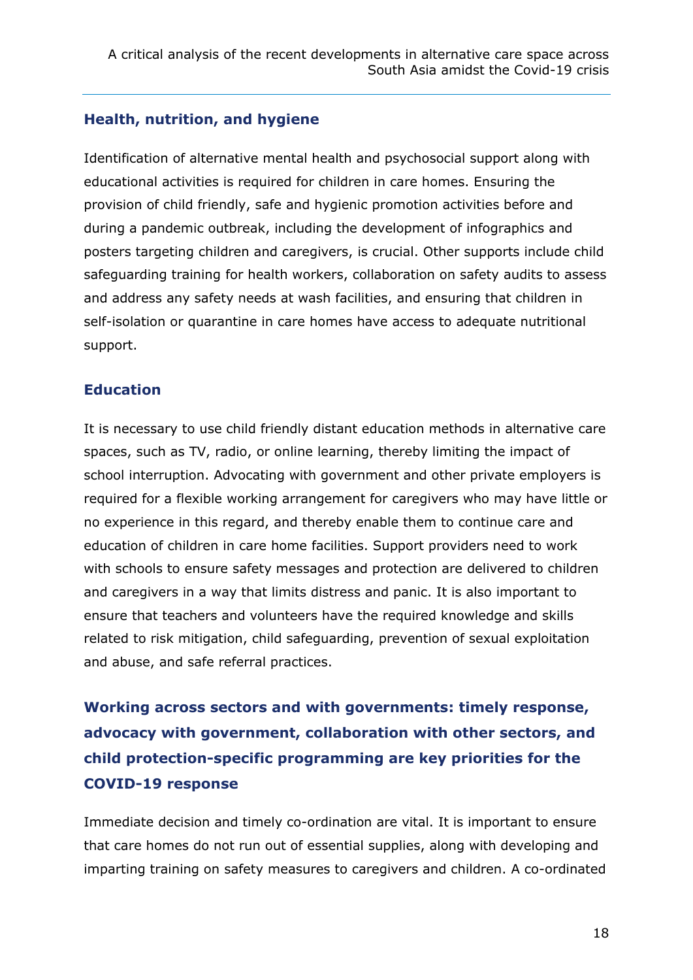#### **Health, nutrition, and hygiene**

Identification of alternative mental health and psychosocial support along with educational activities is required for children in care homes. Ensuring the provision of child friendly, safe and hygienic promotion activities before and during a pandemic outbreak, including the development of infographics and posters targeting children and caregivers, is crucial. Other supports include child safeguarding training for health workers, collaboration on safety audits to assess and address any safety needs at wash facilities, and ensuring that children in self-isolation or quarantine in care homes have access to adequate nutritional support.

#### **Education**

It is necessary to use child friendly distant education methods in alternative care spaces, such as TV, radio, or online learning, thereby limiting the impact of school interruption. Advocating with government and other private employers is required for a flexible working arrangement for caregivers who may have little or no experience in this regard, and thereby enable them to continue care and education of children in care home facilities. Support providers need to work with schools to ensure safety messages and protection are delivered to children and caregivers in a way that limits distress and panic. It is also important to ensure that teachers and volunteers have the required knowledge and skills related to risk mitigation, child safeguarding, prevention of sexual exploitation and abuse, and safe referral practices.

**Working across sectors and with governments: timely response, advocacy with government, collaboration with other sectors, and child protection-specific programming are key priorities for the COVID-19 response**

Immediate decision and timely co-ordination are vital. It is important to ensure that care homes do not run out of essential supplies, along with developing and imparting training on safety measures to caregivers and children. A co-ordinated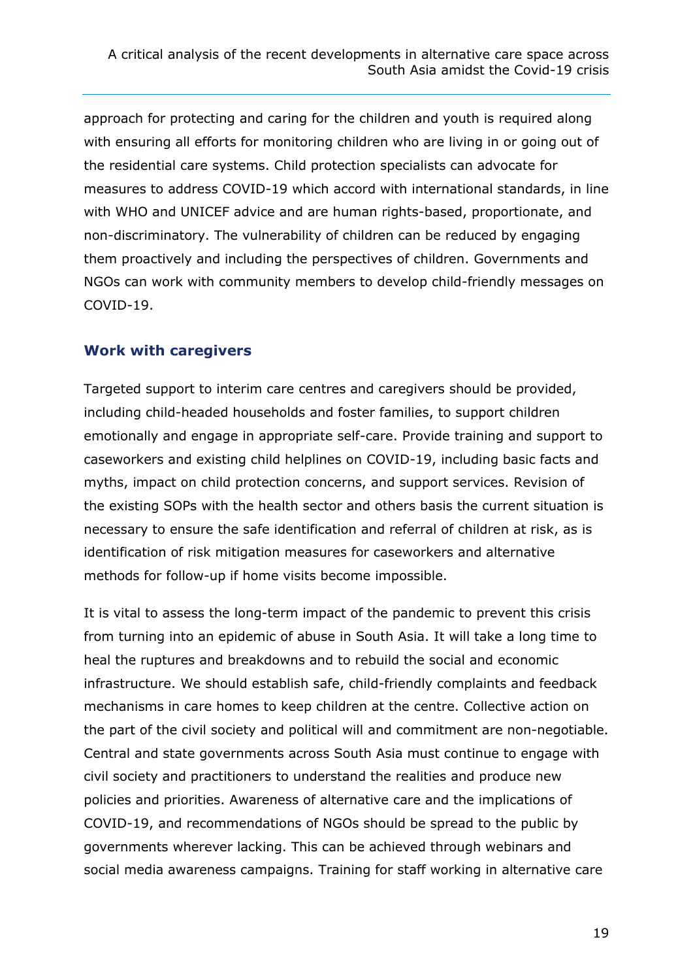approach for protecting and caring for the children and youth is required along with ensuring all efforts for monitoring children who are living in or going out of the residential care systems. Child protection specialists can advocate for measures to address COVID-19 which accord with international standards, in line with WHO and UNICEF advice and are human rights-based, proportionate, and non-discriminatory. The vulnerability of children can be reduced by engaging them proactively and including the perspectives of children. Governments and NGOs can work with community members to develop child-friendly messages on COVID-19.

#### **Work with caregivers**

Targeted support to interim care centres and caregivers should be provided, including child-headed households and foster families, to support children emotionally and engage in appropriate self-care. Provide training and support to caseworkers and existing child helplines on COVID-19, including basic facts and myths, impact on child protection concerns, and support services. Revision of the existing SOPs with the health sector and others basis the current situation is necessary to ensure the safe identification and referral of children at risk, as is identification of risk mitigation measures for caseworkers and alternative methods for follow-up if home visits become impossible.

It is vital to assess the long-term impact of the pandemic to prevent this crisis from turning into an epidemic of abuse in South Asia. It will take a long time to heal the ruptures and breakdowns and to rebuild the social and economic infrastructure. We should establish safe, child-friendly complaints and feedback mechanisms in care homes to keep children at the centre. Collective action on the part of the civil society and political will and commitment are non-negotiable. Central and state governments across South Asia must continue to engage with civil society and practitioners to understand the realities and produce new policies and priorities. Awareness of alternative care and the implications of COVID-19, and recommendations of NGOs should be spread to the public by governments wherever lacking. This can be achieved through webinars and social media awareness campaigns. Training for staff working in alternative care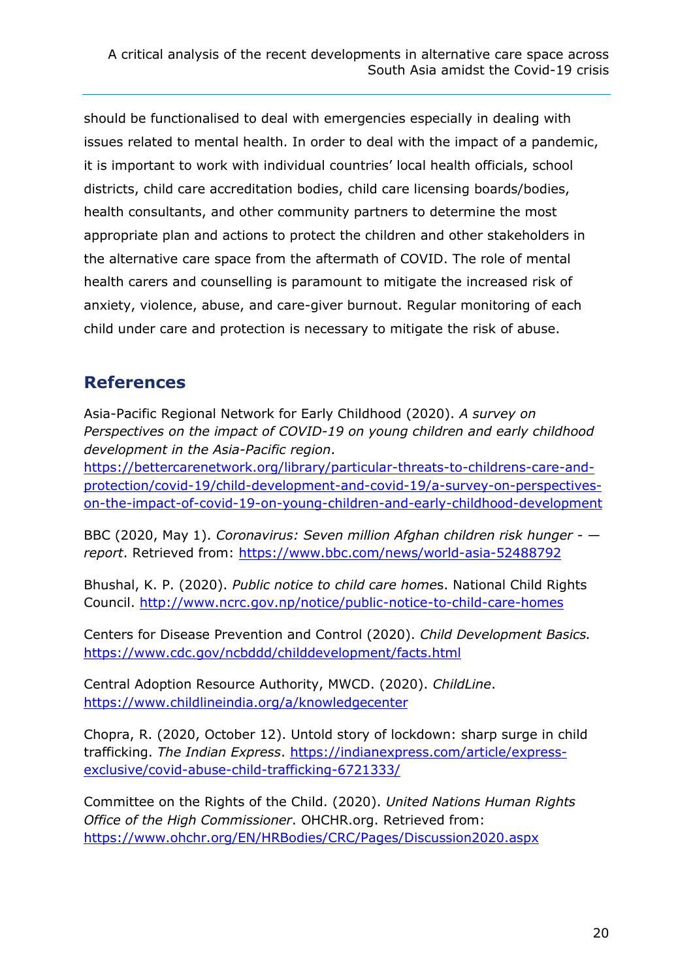should be functionalised to deal with emergencies especially in dealing with issues related to mental health. In order to deal with the impact of a pandemic, it is important to work with individual countries' local health officials, school districts, child care accreditation bodies, child care licensing boards/bodies, health consultants, and other community partners to determine the most appropriate plan and actions to protect the children and other stakeholders in the alternative care space from the aftermath of COVID. The role of mental health carers and counselling is paramount to mitigate the increased risk of anxiety, violence, abuse, and care-giver burnout. Regular monitoring of each child under care and protection is necessary to mitigate the risk of abuse.

### **References**

Asia-Pacific Regional Network for Early Childhood (2020). *A survey on Perspectives on the impact of COVID-19 on young children and early childhood development in the Asia-Pacific region*.

[https://bettercarenetwork.org/library/particular-threats-to-childrens-care-and](https://bettercarenetwork.org/library/particular-threats-to-childrens-care-and-protection/covid-19/child-development-and-covid-19/a-survey-on-perspectives-on-the-impact-of-covid-19-on-young-children-and-early-childhood-development)[protection/covid-19/child-development-and-covid-19/a-survey-on-perspectives](https://bettercarenetwork.org/library/particular-threats-to-childrens-care-and-protection/covid-19/child-development-and-covid-19/a-survey-on-perspectives-on-the-impact-of-covid-19-on-young-children-and-early-childhood-development)[on-the-impact-of-covid-19-on-young-children-and-early-childhood-development](https://bettercarenetwork.org/library/particular-threats-to-childrens-care-and-protection/covid-19/child-development-and-covid-19/a-survey-on-perspectives-on-the-impact-of-covid-19-on-young-children-and-early-childhood-development)

BBC (2020, May 1). *Coronavirus: Seven million Afghan children risk hunger - report*. Retrieved from:<https://www.bbc.com/news/world-asia-52488792>

Bhushal, K. P. (2020). *Public notice to child care home*s. National Child Rights Council.<http://www.ncrc.gov.np/notice/public-notice-to-child-care-homes>

Centers for Disease Prevention and Control (2020). *Child Development Basics.*  <https://www.cdc.gov/ncbddd/childdevelopment/facts.html>

Central Adoption Resource Authority, MWCD. (2020). *ChildLine*. <https://www.childlineindia.org/a/knowledgecenter>

Chopra, R. (2020, October 12). Untold story of lockdown: sharp surge in child trafficking. *The Indian Express*. [https://indianexpress.com/article/express](https://indianexpress.com/article/express-exclusive/covid-abuse-child-trafficking-6721333/)[exclusive/covid-abuse-child-trafficking-6721333/](https://indianexpress.com/article/express-exclusive/covid-abuse-child-trafficking-6721333/)

Committee on the Rights of the Child. (2020). *United Nations Human Rights Office of the High Commissioner*. OHCHR.org. Retrieved from: <https://www.ohchr.org/EN/HRBodies/CRC/Pages/Discussion2020.aspx>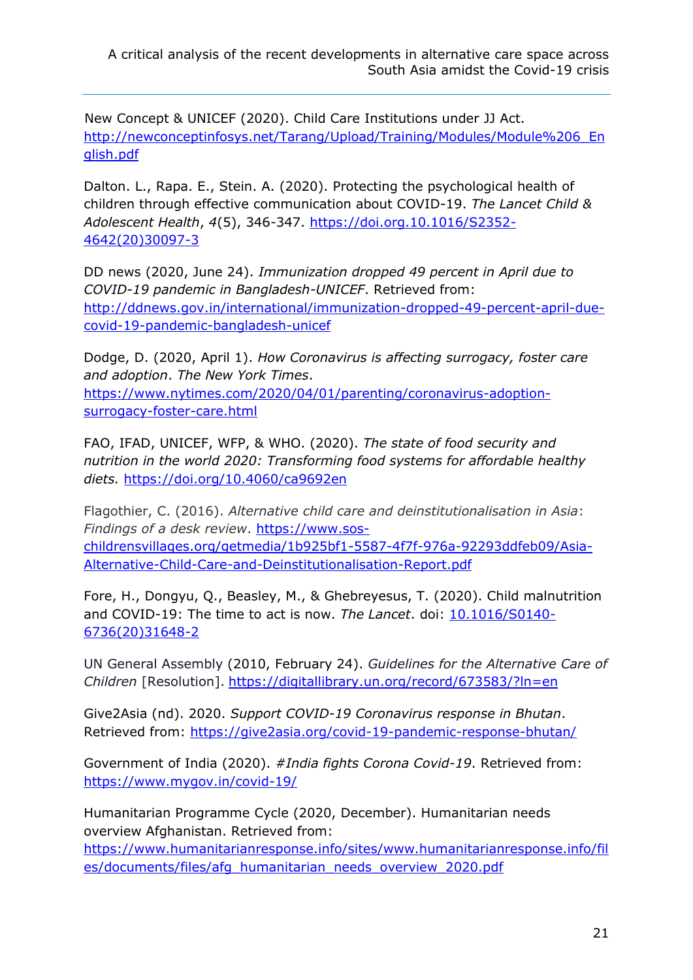New Concept & UNICEF (2020). Child Care Institutions under JJ Act. [http://newconceptinfosys.net/Tarang/Upload/Training/Modules/Module%206\\_En](http://newconceptinfosys.net/Tarang/Upload/Training/Modules/Module%206_English.pdf) [glish.pdf](http://newconceptinfosys.net/Tarang/Upload/Training/Modules/Module%206_English.pdf)

Dalton. L., Rapa. E., Stein. A. (2020). Protecting the psychological health of children through effective communication about COVID-19. *The Lancet Child & Adolescent Health*, *4*(5), 346-347. [https://doi.org.10.1016/S2352-](https://doi.org.10.1016/S2352-4642(20)30097-3) [4642\(20\)30097-3](https://doi.org.10.1016/S2352-4642(20)30097-3)

DD news (2020, June 24). *Immunization dropped 49 percent in April due to COVID-19 pandemic in Bangladesh-UNICEF*. Retrieved from: [http://ddnews.gov.in/international/immunization-dropped-49-percent-april-due](http://ddnews.gov.in/international/immunization-dropped-49-percent-april-due-covid-19-pandemic-bangladesh-unicef)[covid-19-pandemic-bangladesh-unicef](http://ddnews.gov.in/international/immunization-dropped-49-percent-april-due-covid-19-pandemic-bangladesh-unicef)

Dodge, D. (2020, April 1). *How Coronavirus is affecting surrogacy, foster care and adoption*. *The New York Times*. [https://www.nytimes.com/2020/04/01/parenting/coronavirus-adoption](https://www.nytimes.com/2020/04/01/parenting/coronavirus-adoption-surrogacy-foster-care.html)[surrogacy-foster-care.html](https://www.nytimes.com/2020/04/01/parenting/coronavirus-adoption-surrogacy-foster-care.html)

FAO, IFAD, UNICEF, WFP, & WHO. (2020). *The state of food security and nutrition in the world 2020: Transforming food systems for affordable healthy diets.* [https://doi.org/10.4060/ca9692en](file:///C:/Users/Katja%20Neumann/Downloads/10.4060/ca9692en)

Flagothier, C. (2016). *Alternative child care and deinstitutionalisation in Asia*: *Findings of a desk review*. [https://www.sos](https://www.sos-childrensvillages.org/getmedia/1b925bf1-5587-4f7f-976a-92293ddfeb09/Asia-Alternative-Child-Care-and-Deinstitutionalisation-Report.pdf)[childrensvillages.org/getmedia/1b925bf1-5587-4f7f-976a-92293ddfeb09/Asia-](https://www.sos-childrensvillages.org/getmedia/1b925bf1-5587-4f7f-976a-92293ddfeb09/Asia-Alternative-Child-Care-and-Deinstitutionalisation-Report.pdf)[Alternative-Child-Care-and-Deinstitutionalisation-Report.pdf](https://www.sos-childrensvillages.org/getmedia/1b925bf1-5587-4f7f-976a-92293ddfeb09/Asia-Alternative-Child-Care-and-Deinstitutionalisation-Report.pdf)

Fore, H., Dongyu, Q., Beasley, M., & Ghebreyesus, T. (2020). Child malnutrition and COVID-19: The time to act is now. *The Lancet*. doi: [10.1016/S0140-](file:///C:/Users/Katja%20Neumann/Downloads/10.1016/S0140-6736(20)31648-2) [6736\(20\)31648-2](file:///C:/Users/Katja%20Neumann/Downloads/10.1016/S0140-6736(20)31648-2)

UN General Assembly (2010, February 24). *Guidelines for the Alternative Care of Children* [Resolution]. <https://digitallibrary.un.org/record/673583/?ln=en>

Give2Asia (nd). 2020. *Support COVID-19 Coronavirus response in Bhutan*. Retrieved from:<https://give2asia.org/covid-19-pandemic-response-bhutan/>

Government of India (2020). *#India fights Corona Covid-19*. Retrieved from: <https://www.mygov.in/covid-19/>

Humanitarian Programme Cycle (2020, December). Humanitarian needs overview Afghanistan. Retrieved from:

[https://www.humanitarianresponse.info/sites/www.humanitarianresponse.info/fil](https://www.humanitarianresponse.info/sites/www.humanitarianresponse.info/files/documents/files/afg_humanitarian_needs_overview_2020.pdf) [es/documents/files/afg\\_humanitarian\\_needs\\_overview\\_2020.pdf](https://www.humanitarianresponse.info/sites/www.humanitarianresponse.info/files/documents/files/afg_humanitarian_needs_overview_2020.pdf)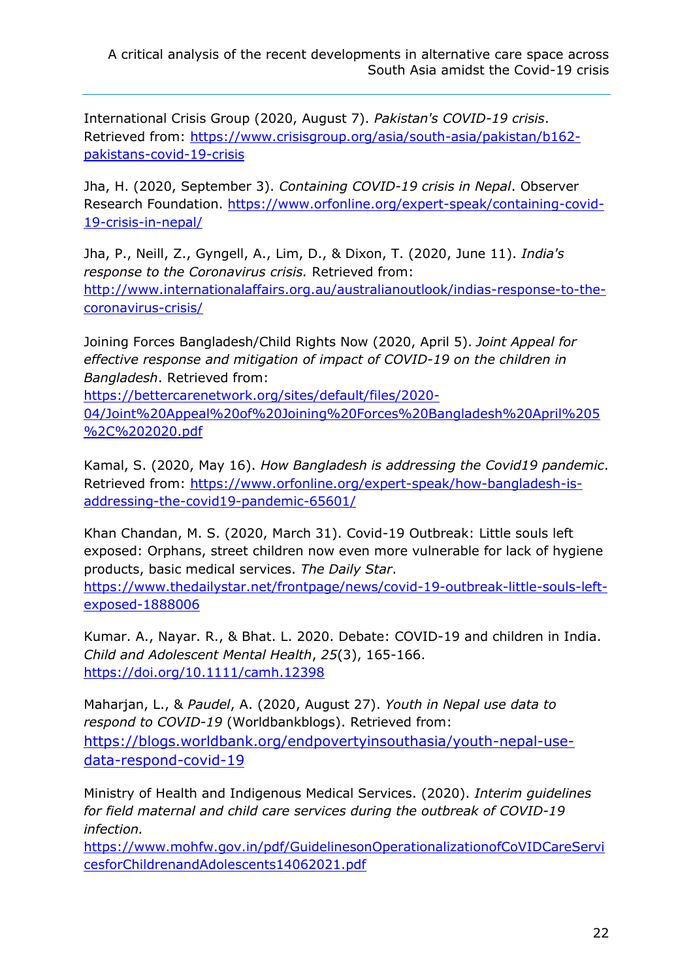International Crisis Group (2020, August 7). *Pakistan's COVID-19 crisis*. Retrieved from: [https://www.crisisgroup.org/asia/south-asia/pakistan/b162](https://www.crisisgroup.org/asia/south-asia/pakistan/b162-pakistans-covid-19-crisis) [pakistans-covid-19-crisis](https://www.crisisgroup.org/asia/south-asia/pakistan/b162-pakistans-covid-19-crisis)

Jha, H. (2020, September 3). *Containing COVID-19 crisis in Nepal*. Observer Research Foundation. [https://www.orfonline.org/expert-speak/containing-covid-](https://www.orfonline.org/expert-speak/containing-covid-19-crisis-in-nepal/)[19-crisis-in-nepal/](https://www.orfonline.org/expert-speak/containing-covid-19-crisis-in-nepal/)

Jha, P., Neill, Z., Gyngell, A., Lim, D., & Dixon, T. (2020, June 11). *India's response to the Coronavirus crisis.* Retrieved from: [http://www.internationalaffairs.org.au/australianoutlook/indias-response-to-the](http://www.internationalaffairs.org.au/australianoutlook/indias-response-to-the-coronavirus-crisis/)[coronavirus-crisis/](http://www.internationalaffairs.org.au/australianoutlook/indias-response-to-the-coronavirus-crisis/)

Joining Forces Bangladesh/Child Rights Now (2020, April 5). *Joint Appeal for effective response and mitigation of impact of COVID-19 on the children in Bangladesh*. Retrieved from:

[https://bettercarenetwork.org/sites/default/files/2020-](https://bettercarenetwork.org/sites/default/files/2020-04/Joint%20Appeal%20of%20Joining%20Forces%20Bangladesh%20April%205%2C%202020.pdf) [04/Joint%20Appeal%20of%20Joining%20Forces%20Bangladesh%20April%205](https://bettercarenetwork.org/sites/default/files/2020-04/Joint%20Appeal%20of%20Joining%20Forces%20Bangladesh%20April%205%2C%202020.pdf) [%2C%202020.pdf](https://bettercarenetwork.org/sites/default/files/2020-04/Joint%20Appeal%20of%20Joining%20Forces%20Bangladesh%20April%205%2C%202020.pdf)

Kamal, S. (2020, May 16). *How Bangladesh is addressing the Covid19 pandemic*. Retrieved from: [https://www.orfonline.org/expert-speak/how-bangladesh-is](https://www.orfonline.org/expert-speak/how-bangladesh-is-addressing-the-covid19-pandemic-65601/)[addressing-the-covid19-pandemic-65601/](https://www.orfonline.org/expert-speak/how-bangladesh-is-addressing-the-covid19-pandemic-65601/)

Khan Chandan, M. S. (2020, March 31). Covid-19 Outbreak: Little souls left exposed: Orphans, street children now even more vulnerable for lack of hygiene products, basic medical services. *The Daily Star*. [https://www.thedailystar.net/frontpage/news/covid-19-outbreak-little-souls-left-](https://www.thedailystar.net/frontpage/news/covid-19-outbreak-little-souls-left-exposed-1888006)

[exposed-1888006](https://www.thedailystar.net/frontpage/news/covid-19-outbreak-little-souls-left-exposed-1888006)

Kumar. A., Nayar. R., & Bhat. L. 2020. Debate: COVID-19 and children in India. *Child and Adolescent Mental Health*, *25*(3), 165-166. <https://doi.org/10.1111/camh.12398>

Maharjan, L., & *Paudel*, A. (2020, August 27). *Youth in Nepal use data to respond to COVID-19* (Worldbankblogs). Retrieved from: [https://blogs.worldbank.org/endpovertyinsouthasia/youth-nepal-use](https://blogs.worldbank.org/endpovertyinsouthasia/youth-nepal-use-data-respond-covid-19)[data-respond-covid-19](https://blogs.worldbank.org/endpovertyinsouthasia/youth-nepal-use-data-respond-covid-19)

Ministry of Health and Indigenous Medical Services. (2020). *Interim guidelines for field maternal and child care services during the outbreak of COVID-19 infection.* 

[https://www.mohfw.gov.in/pdf/GuidelinesonOperationalizationofCoVIDCareServi](https://www.mohfw.gov.in/pdf/GuidelinesonOperationalizationofCoVIDCareServicesforChildrenandAdolescents14062021.pdf) [cesforChildrenandAdolescents14062021.pdf](https://www.mohfw.gov.in/pdf/GuidelinesonOperationalizationofCoVIDCareServicesforChildrenandAdolescents14062021.pdf)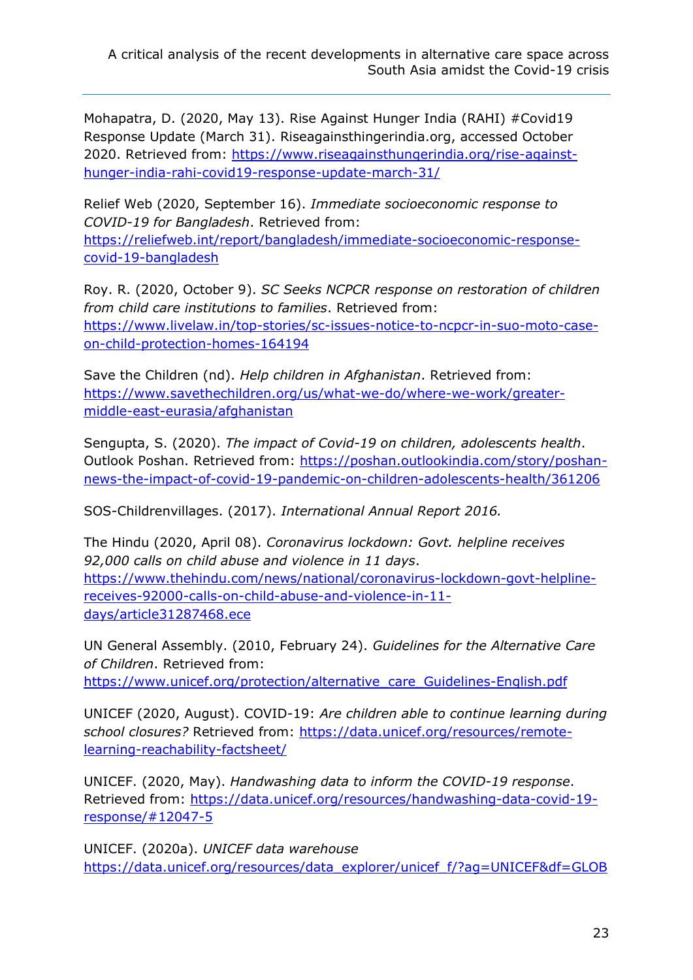Mohapatra, D. (2020, May 13). Rise Against Hunger India (RAHI) #Covid19 Response Update (March 31). Riseagainsthingerindia.org, accessed October 2020. Retrieved from: [https://www.riseagainsthungerindia.org/rise-against](https://www.riseagainsthungerindia.org/rise-against-hunger-india-rahi-covid19-response-update-march-31/)[hunger-india-rahi-covid19-response-update-march-31/](https://www.riseagainsthungerindia.org/rise-against-hunger-india-rahi-covid19-response-update-march-31/) 

Relief Web (2020, September 16). *Immediate socioeconomic response to COVID-19 for Bangladesh*. Retrieved from: [https://reliefweb.int/report/bangladesh/immediate-socioeconomic-response](https://reliefweb.int/report/bangladesh/immediate-socioeconomic-response-covid-19-bangladesh)[covid-19-bangladesh](https://reliefweb.int/report/bangladesh/immediate-socioeconomic-response-covid-19-bangladesh)

Roy. R. (2020, October 9). *SC Seeks NCPCR response on restoration of children from child care institutions to families*. Retrieved from: [https://www.livelaw.in/top-stories/sc-issues-notice-to-ncpcr-in-suo-moto-case](https://www.livelaw.in/top-stories/sc-issues-notice-to-ncpcr-in-suo-moto-case-on-child-protection-homes-164194)[on-child-protection-homes-164194](https://www.livelaw.in/top-stories/sc-issues-notice-to-ncpcr-in-suo-moto-case-on-child-protection-homes-164194)

Save the Children (nd). *Help children in Afghanistan*. Retrieved from: [https://www.savethechildren.org/us/what-we-do/where-we-work/greater](https://www.savethechildren.org/us/what-we-do/where-we-work/greater-middle-east-eurasia/afghanistan)[middle-east-eurasia/afghanistan](https://www.savethechildren.org/us/what-we-do/where-we-work/greater-middle-east-eurasia/afghanistan)

Sengupta, S. (2020). *The impact of Covid-19 on children, adolescents health*. Outlook Poshan. Retrieved from: [https://poshan.outlookindia.com/story/poshan](https://poshan.outlookindia.com/story/poshan-news-the-impact-of-covid-19-pandemic-on-children-adolescents-health/361206)[news-the-impact-of-covid-19-pandemic-on-children-adolescents-health/361206](https://poshan.outlookindia.com/story/poshan-news-the-impact-of-covid-19-pandemic-on-children-adolescents-health/361206)

SOS-Childrenvillages. (2017). *International Annual Report 2016.*

The Hindu (2020, April 08). *Coronavirus lockdown: Govt. helpline receives 92,000 calls on child abuse and violence in 11 days*. [https://www.thehindu.com/news/national/coronavirus-lockdown-govt-helpline](https://www.thehindu.com/news/national/coronavirus-lockdown-govt-helpline-receives-92000-calls-on-child-abuse-and-violence-in-11-days/article31287468.ece)[receives-92000-calls-on-child-abuse-and-violence-in-11](https://www.thehindu.com/news/national/coronavirus-lockdown-govt-helpline-receives-92000-calls-on-child-abuse-and-violence-in-11-days/article31287468.ece) [days/article31287468.ece](https://www.thehindu.com/news/national/coronavirus-lockdown-govt-helpline-receives-92000-calls-on-child-abuse-and-violence-in-11-days/article31287468.ece)

UN General Assembly. (2010, February 24). *Guidelines for the Alternative Care of Children*. Retrieved from: [https://www.unicef.org/protection/alternative\\_care\\_Guidelines-English.pdf](https://www.unicef.org/protection/alternative_care_Guidelines-English.pdf)

UNICEF (2020, August). COVID-19: *Are children able to continue learning during school closures?* Retrieved from: [https://data.unicef.org/resources/remote](https://data.unicef.org/resources/remote-learning-reachability-factsheet/)[learning-reachability-factsheet/](https://data.unicef.org/resources/remote-learning-reachability-factsheet/)

UNICEF. (2020, May). *Handwashing data to inform the COVID-19 response*. Retrieved from: [https://data.unicef.org/resources/handwashing-data-covid-19](https://data.unicef.org/resources/handwashing-data-covid-19-response/#12047-5) [response/#12047-5](https://data.unicef.org/resources/handwashing-data-covid-19-response/#12047-5)

UNICEF. (2020a). *UNICEF data warehouse* [https://data.unicef.org/resources/data\\_explorer/unicef\\_f/?ag=UNICEF&df=GLOB](https://data.unicef.org/resources/data_explorer/unicef_f/?ag=UNICEF&df=GLOBAL_DATAFLOW&ver=1.0&dq=.DM_POP_U18..&startPeriod=2008&endPeriod=2018)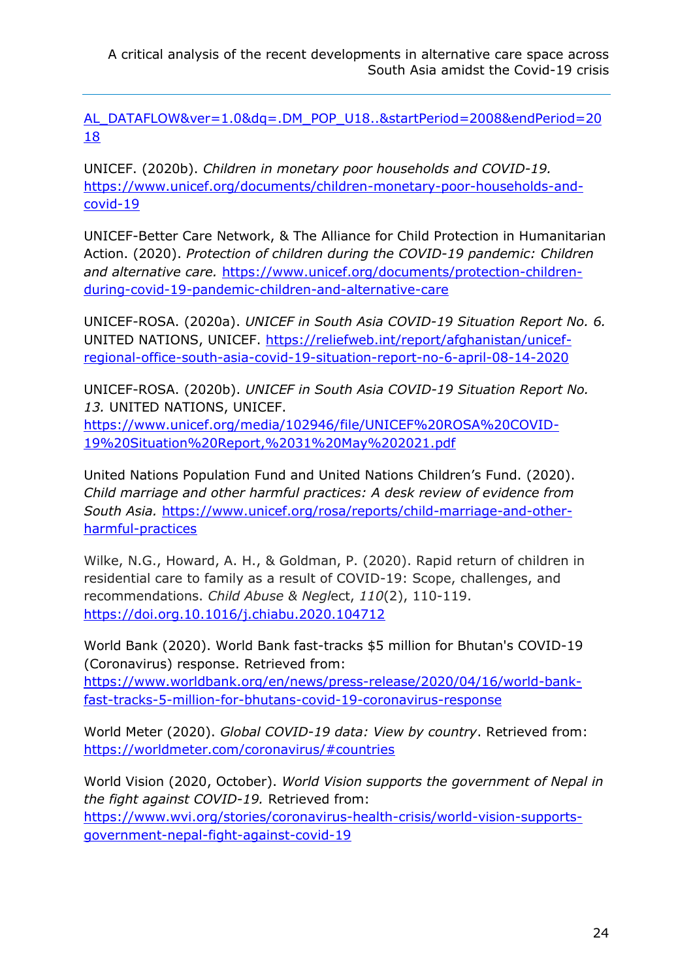AL\_DATAFLOW&ver=1.0&dq=.DM\_POP\_U18..&startPeriod=2008&endPeriod=20 18

UNICEF. (2020b). *Children in monetary poor households and COVID-19.* https://www.unicef.org/documents/children-monetary-poor-households-andcovid-19

UNICEF-Better Care Network, & The Alliance for Child Protection in Humanitarian Action. (2020). *Protection of children during the COVID-19 pandemic: Children and alternative care.* https://www.unicef.org/documents/protection-childrenduring-covid-19-pandemic-children-and-alternative-care

UNICEF-ROSA. (2020a). *UNICEF in South Asia COVID-19 Situation Report No. 6.* UNITED NATIONS, UNICEF. https://reliefweb.int/report/afghanistan/unicefregional-office-south-asia-covid-19-situation-report-no-6-april-08-14-2020

UNICEF-ROSA. (2020b). *UNICEF in South Asia COVID-19 Situation Report No. 13.* UNITED NATIONS, UNICEF. https://www.unicef.org/media/102946/file/UNICEF%20ROSA%20COVID-

19%20Situation%20Report,%2031%20May%202021.pdf

United Nations Population Fund and United Nations Children's Fund. (2020). *Child marriage and other harmful practices: A desk review of evidence from South Asia.* https://www.unicef.org/rosa/reports/child-marriage-and-otherharmful-practices

Wilke, N.G., Howard, A. H., & Goldman, P. (2020). Rapid return of children in residential care to family as a result of COVID-19: Scope, challenges, and recommendations. *Child Abuse & Negl*ect, *110*(2), 110-119. https://doi.org.10.1016/j.chiabu.2020.104712

World Bank (2020). World Bank fast-tracks \$5 million for Bhutan's COVID-19 (Coronavirus) response. Retrieved from:

https://www.worldbank.org/en/news/press-release/2020/04/16/world-bankfast-tracks-5-million-for-bhutans-covid-19-coronavirus-response

World Meter (2020). *Global COVID-19 data: View by country*. Retrieved from: https://worldmeter.com/coronavirus/#countries

World Vision (2020, October). *World Vision supports the government of Nepal in the fight against COVID-19.* Retrieved from: https://www.wvi.org/stories/coronavirus-health-crisis/world-vision-supportsgovernment-nepal-fight-against-covid-19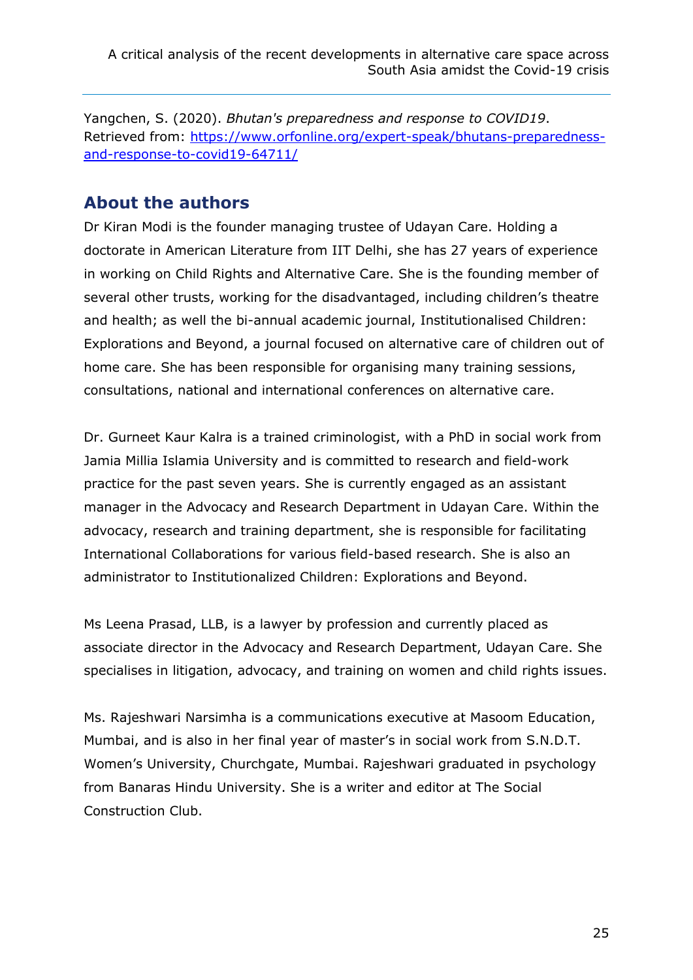Yangchen, S. (2020). *Bhutan's preparedness and response to COVID19*. Retrieved from: https://www.orfonline.org/expert-speak/bhutans-preparednessand-response-to-covid19-64711/

### **About the authors**

Dr Kiran Modi is the founder managing trustee of Udayan Care. Holding a doctorate in American Literature from IIT Delhi, she has 27 years of experience in working on Child Rights and Alternative Care. She is the founding member of several other trusts, working for the disadvantaged, including children's theatre and health; as well the bi-annual academic journal, Institutionalised Children: Explorations and Beyond, a journal focused on alternative care of children out of home care. She has been responsible for organising many training sessions, consultations, national and international conferences on alternative care.

Dr. Gurneet Kaur Kalra is a trained criminologist, with a PhD in social work from Jamia Millia Islamia University and is committed to research and field-work practice for the past seven years. She is currently engaged as an assistant manager in the Advocacy and Research Department in Udayan Care. Within the advocacy, research and training department, she is responsible for facilitating International Collaborations for various field-based research. She is also an administrator to Institutionalized Children: Explorations and Beyond.

Ms Leena Prasad, LLB, is a lawyer by profession and currently placed as associate director in the Advocacy and Research Department, Udayan Care. She specialises in litigation, advocacy, and training on women and child rights issues.

Ms. Rajeshwari Narsimha is a communications executive at Masoom Education, Mumbai, and is also in her final year of master's in social work from S.N.D.T. Women's University, Churchgate, Mumbai. Rajeshwari graduated in psychology from Banaras Hindu University. She is a writer and editor at The Social Construction Club.